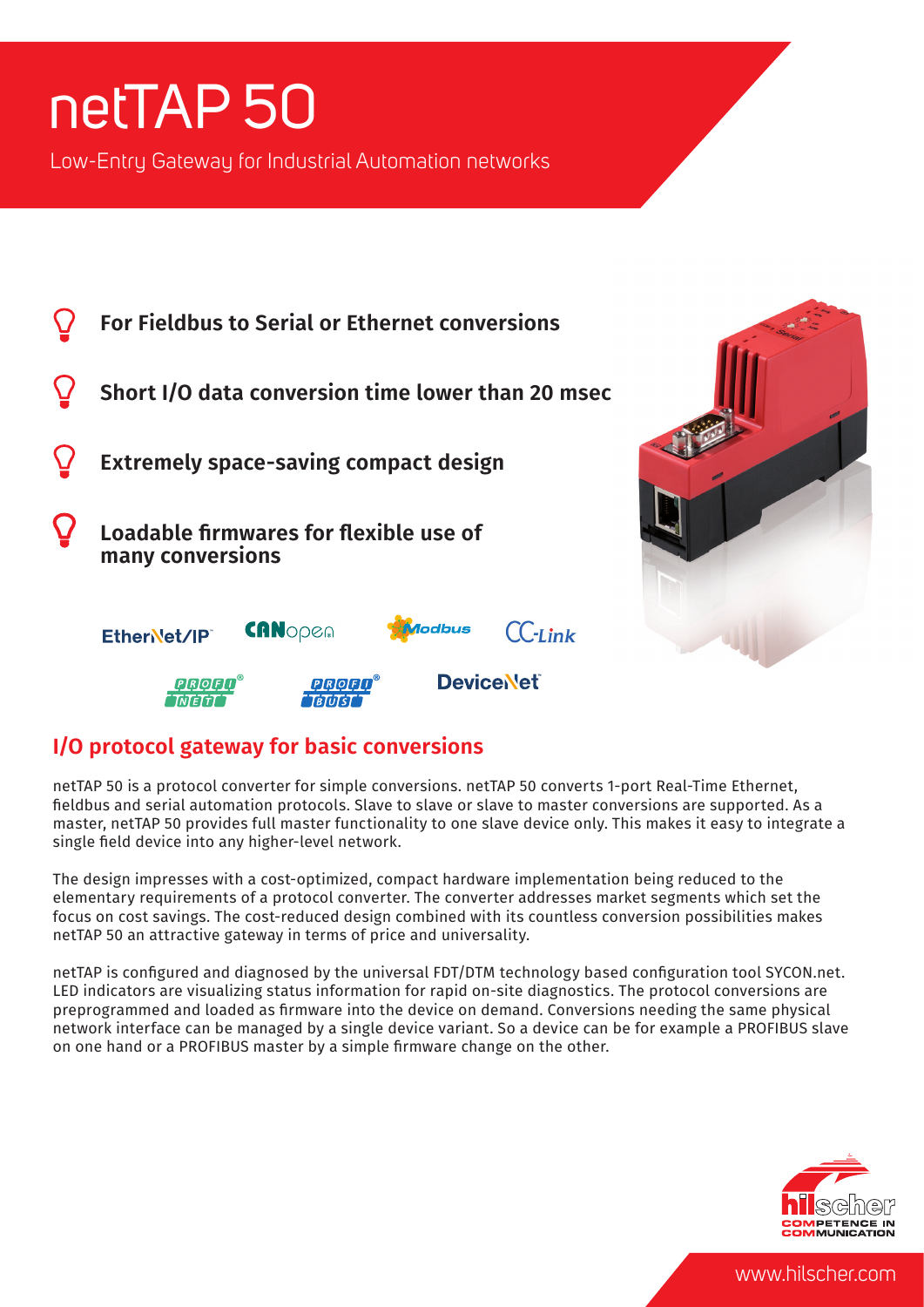# netTAP 50

Low-Entry Gateway for Industrial Automation networks



## **I/O protocol gateway for basic conversions**

netTAP 50 is a protocol converter for simple conversions. netTAP 50 converts 1-port Real-Time Ethernet, fieldbus and serial automation protocols. Slave to slave or slave to master conversions are supported. As a master, netTAP 50 provides full master functionality to one slave device only. This makes it easy to integrate a single field device into any higher-level network.

The design impresses with a cost-optimized, compact hardware implementation being reduced to the elementary requirements of a protocol converter. The converter addresses market segments which set the focus on cost savings. The cost-reduced design combined with its countless conversion possibilities makes netTAP 50 an attractive gateway in terms of price and universality.

netTAP is configured and diagnosed by the universal FDT/DTM technology based configuration tool SYCON.net. LED indicators are visualizing status information for rapid on-site diagnostics. The protocol conversions are preprogrammed and loaded as firmware into the device on demand. Conversions needing the same physical network interface can be managed by a single device variant. So a device can be for example a PROFIBUS slave on one hand or a PROFIBUS master by a simple firmware change on the other.



www.hilscher.com